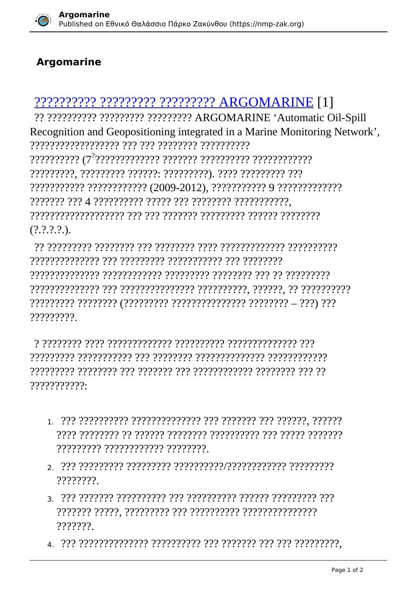

## **Argomarine**

## ?????????? ????????? ????????? ARGOMARINE [1]

?? ?????????? ???????? ????????? ARGOMARINE 'Automatic Oil-Spill Recognition and Geopositioning integrated in a Marine Monitoring Network',  $(?,?,?,?,).')$ 

????????

- 
- ???????
- ??????
-